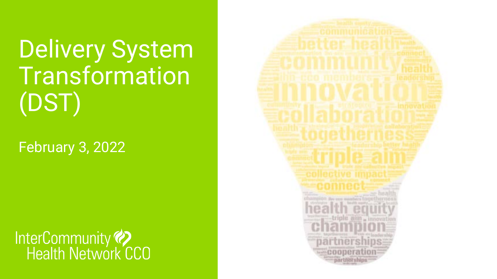Delivery System Transformation (DST)

February 3, 2022



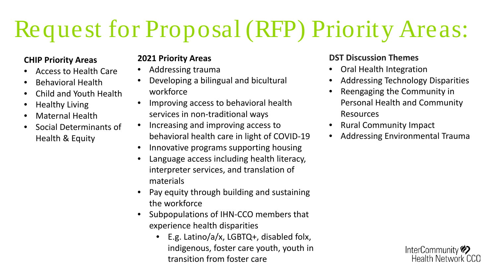# Request for Proposal (RFP) Priority Areas:

### **CHIP Priority Areas**

- Access to Health Care
- Behavioral Health
- Child and Youth Health
- Healthy Living
- Maternal Health
- Social Determinants of Health & Equity

#### **2021 Priority Areas**

- Addressing trauma
- Developing a bilingual and bicultural workforce
- Improving access to behavioral health services in non-traditional ways
- Increasing and improving access to behavioral health care in light of COVID-19
- Innovative programs supporting housing
- Language access including health literacy, interpreter services, and translation of materials
- Pay equity through building and sustaining the workforce
- Subpopulations of IHN-CCO members that experience health disparities
	- E.g. Latino/a/x, LGBTQ+, disabled folx, indigenous, foster care youth, youth in transition from foster care

#### **DST Discussion Themes**

- Oral Health Integration
- Addressing Technology Disparities
- Reengaging the Community in Personal Health and Community Resources
- Rural Community Impact
- Addressing Environmental Trauma

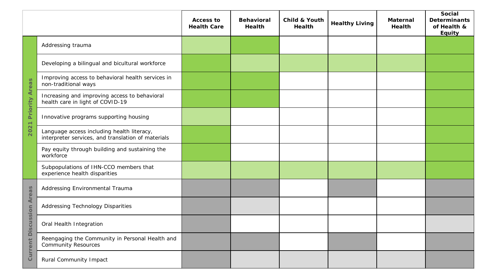|                                  |                                                                                                  | <b>Access to</b><br><b>Health Care</b> | <b>Behavioral</b><br><b>Health</b> | Child & Youth<br><b>Health</b> | <b>Healthy Living</b> | <b>Maternal</b><br><b>Health</b> | Social<br><b>Determinants</b><br>of Health &<br><b>Equity</b> |
|----------------------------------|--------------------------------------------------------------------------------------------------|----------------------------------------|------------------------------------|--------------------------------|-----------------------|----------------------------------|---------------------------------------------------------------|
| <b>Areas</b><br>Priority<br>2021 | Addressing trauma                                                                                |                                        |                                    |                                |                       |                                  |                                                               |
|                                  | Developing a bilingual and bicultural workforce                                                  |                                        |                                    |                                |                       |                                  |                                                               |
|                                  | Improving access to behavioral health services in<br>non-traditional ways                        |                                        |                                    |                                |                       |                                  |                                                               |
|                                  | Increasing and improving access to behavioral<br>health care in light of COVID-19                |                                        |                                    |                                |                       |                                  |                                                               |
|                                  | Innovative programs supporting housing                                                           |                                        |                                    |                                |                       |                                  |                                                               |
|                                  | Language access including health literacy,<br>interpreter services, and translation of materials |                                        |                                    |                                |                       |                                  |                                                               |
|                                  | Pay equity through building and sustaining the<br>workforce                                      |                                        |                                    |                                |                       |                                  |                                                               |
|                                  | Subpopulations of IHN-CCO members that<br>experience health disparities                          |                                        |                                    |                                |                       |                                  |                                                               |
| Areas<br>Discussion<br>Current   | Addressing Environmental Trauma                                                                  |                                        |                                    |                                |                       |                                  |                                                               |
|                                  | <b>Addressing Technology Disparities</b>                                                         |                                        |                                    |                                |                       |                                  |                                                               |
|                                  | Oral Health Integration                                                                          |                                        |                                    |                                |                       |                                  |                                                               |
|                                  | Reengaging the Community in Personal Health and<br><b>Community Resources</b>                    |                                        |                                    |                                |                       |                                  |                                                               |
|                                  | <b>Rural Community Impact</b>                                                                    |                                        |                                    |                                |                       |                                  |                                                               |